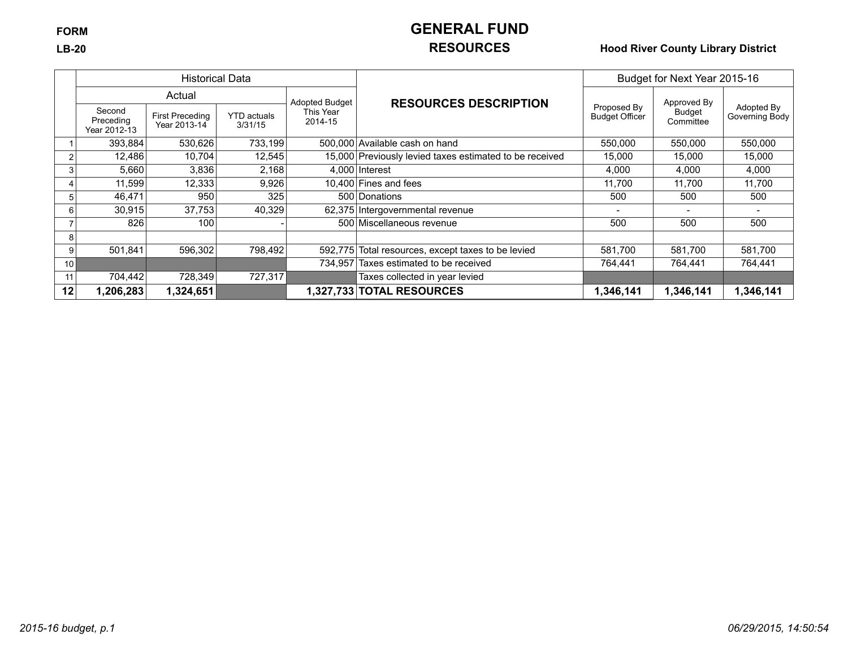# **FORM GENERAL FUND**

## **LB-20 RESOURCES Hood River County Library District**

|    |                                     | <b>Historical Data</b>                 |                               |                      |                                                         | Budget for Next Year 2015-16         |                     |                              |
|----|-------------------------------------|----------------------------------------|-------------------------------|----------------------|---------------------------------------------------------|--------------------------------------|---------------------|------------------------------|
|    |                                     | Actual                                 |                               | Adopted Budget       | <b>RESOURCES DESCRIPTION</b>                            |                                      | Approved By         |                              |
|    | Second<br>Preceding<br>Year 2012-13 | <b>First Preceding</b><br>Year 2013-14 | <b>YTD</b> actuals<br>3/31/15 | This Year<br>2014-15 |                                                         | Proposed By<br><b>Budget Officer</b> | Budget<br>Committee | Adopted By<br>Governing Body |
|    | 393,884                             | 530,626                                | 733,199                       |                      | 500,000 Available cash on hand                          | 550,000                              | 550,000             | 550,000                      |
|    | 12,486                              | 10.704                                 | 12,545                        |                      | 15,000 Previously levied taxes estimated to be received | 15,000                               | 15.000              | 15,000                       |
|    | 5,660                               | 3,836                                  | 2,168                         |                      | $4,000$ Interest                                        | 4,000                                | 4,000               | 4,000                        |
|    | 11,599                              | 12,333                                 | 9,926                         |                      | 10.400 Fines and fees                                   | 11.700                               | 11.700              | 11,700                       |
|    | 46,471                              | 950                                    | 325                           |                      | 500 Donations                                           | 500                                  | 500                 | 500                          |
| 6  | 30,915                              | 37,753                                 | 40,329                        |                      | 62,375 Intergovernmental revenue                        |                                      |                     |                              |
|    | 826                                 | 100                                    |                               |                      | 500 Miscellaneous revenue                               | 500                                  | 500                 | 500                          |
| 8  |                                     |                                        |                               |                      |                                                         |                                      |                     |                              |
| 9  | 501,841                             | 596,302                                | 798,492                       |                      | 592,775 Total resources, except taxes to be levied      | 581,700                              | 581,700             | 581,700                      |
| 10 |                                     |                                        |                               |                      | 734.957 Taxes estimated to be received                  | 764.441                              | 764.441             | 764,441                      |
| 11 | 704,442                             | 728,349                                | 727,317                       |                      | Taxes collected in year levied                          |                                      |                     |                              |
| 12 | ,206,283                            | 1,324,651                              |                               |                      | 1,327,733 TOTAL RESOURCES                               | 1,346,141                            | 1,346,141           | 1,346,141                    |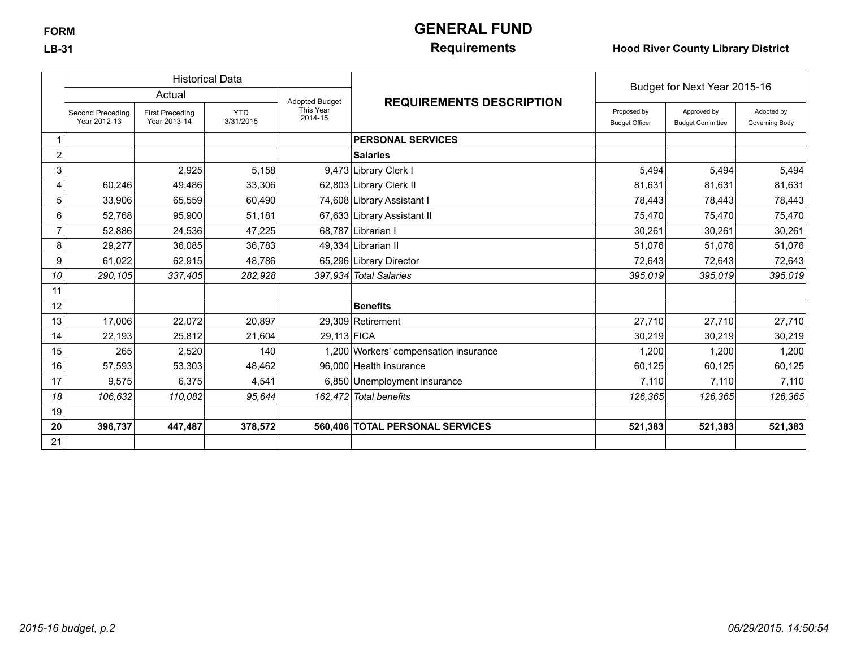# **FORM GENERAL FUND**

### **LB-31 Requirements Hood River County Library District**

|                |                                  |                                        | <b>Historical Data</b>  |                       |                                       | Budget for Next Year 2015-16         |                                        |                              |
|----------------|----------------------------------|----------------------------------------|-------------------------|-----------------------|---------------------------------------|--------------------------------------|----------------------------------------|------------------------------|
|                |                                  | Actual                                 |                         | <b>Adopted Budget</b> | <b>REQUIREMENTS DESCRIPTION</b>       |                                      |                                        |                              |
|                | Second Preceding<br>Year 2012-13 | <b>First Preceding</b><br>Year 2013-14 | <b>YTD</b><br>3/31/2015 | This Year<br>2014-15  |                                       | Proposed by<br><b>Budget Officer</b> | Approved by<br><b>Budget Committee</b> | Adopted by<br>Governing Body |
|                |                                  |                                        |                         |                       | <b>PERSONAL SERVICES</b>              |                                      |                                        |                              |
| $\overline{c}$ |                                  |                                        |                         |                       | <b>Salaries</b>                       |                                      |                                        |                              |
| 3              |                                  | 2,925                                  | 5,158                   |                       | 9,473 Library Clerk I                 | 5,494                                | 5,494                                  | 5,494                        |
| 4              | 60,246                           | 49,486                                 | 33,306                  |                       | 62,803 Library Clerk II               | 81,631                               | 81,631                                 | 81,631                       |
| 5              | 33,906                           | 65,559                                 | 60,490                  |                       | 74,608 Library Assistant I            | 78,443                               | 78,443                                 | 78,443                       |
| 6              | 52,768                           | 95,900                                 | 51,181                  |                       | 67,633 Library Assistant II           | 75,470                               | 75,470                                 | 75,470                       |
|                | 52,886                           | 24,536                                 | 47,225                  |                       | 68.787 Librarian I                    | 30,261                               | 30,261                                 | 30,261                       |
| 8              | 29,277                           | 36,085                                 | 36,783                  |                       | 49.334 Librarian II                   | 51,076                               | 51,076                                 | 51,076                       |
| 9              | 61,022                           | 62,915                                 | 48,786                  |                       | 65,296 Library Director               | 72,643                               | 72,643                                 | 72,643                       |
| 10             | 290,105                          | 337,405                                | 282,928                 |                       | 397,934 Total Salaries                | 395,019                              | 395.019                                | 395,019                      |
| 11             |                                  |                                        |                         |                       |                                       |                                      |                                        |                              |
| 12             |                                  |                                        |                         |                       | <b>Benefits</b>                       |                                      |                                        |                              |
| 13             | 17,006                           | 22,072                                 | 20,897                  |                       | 29,309 Retirement                     | 27,710                               | 27,710                                 | 27,710                       |
| 14             | 22,193                           | 25,812                                 | 21,604                  | 29,113 FICA           |                                       | 30,219                               | 30,219                                 | 30,219                       |
| 15             | 265                              | 2,520                                  | 140                     |                       | 1,200 Workers' compensation insurance | 1,200                                | 1,200                                  | 1,200                        |
| 16             | 57,593                           | 53,303                                 | 48,462                  |                       | 96,000 Health insurance               | 60,125                               | 60,125                                 | 60,125                       |
| 17             | 9,575                            | 6,375                                  | 4,541                   |                       | 6,850 Unemployment insurance          | 7,110                                | 7,110                                  | 7,110                        |
| 18             | 106,632                          | 110,082                                | 95,644                  |                       | 162,472 Total benefits                | 126,365                              | 126,365                                | 126,365                      |
| 19             |                                  |                                        |                         |                       |                                       |                                      |                                        |                              |
| 20             | 396,737                          | 447,487                                | 378,572                 |                       | 560,406 TOTAL PERSONAL SERVICES       | 521,383                              | 521,383                                | 521,383                      |
| 21             |                                  |                                        |                         |                       |                                       |                                      |                                        |                              |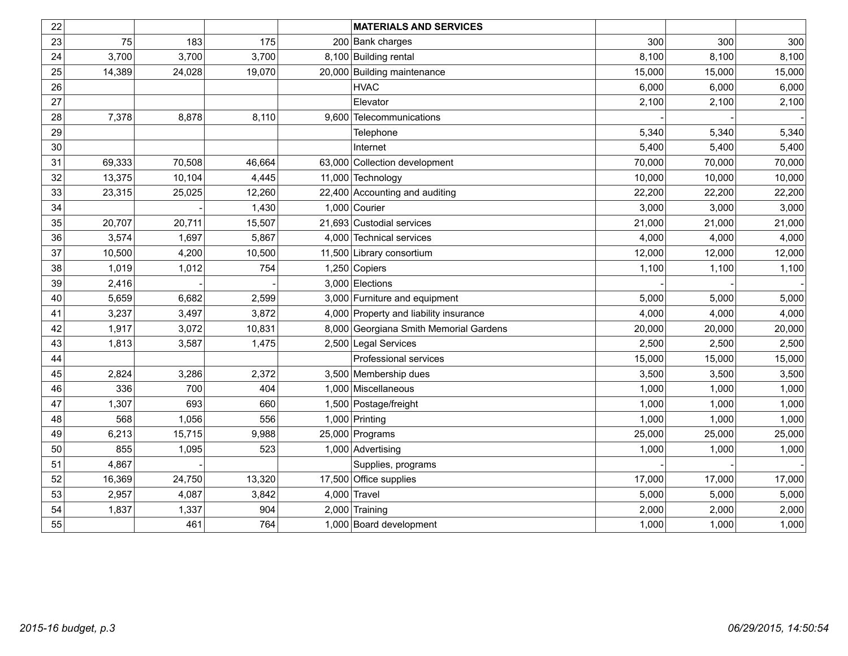| 22 |        |        |        | <b>MATERIALS AND SERVICES</b>          |        |        |        |
|----|--------|--------|--------|----------------------------------------|--------|--------|--------|
| 23 | 75     | 183    | 175    | 200 Bank charges                       | 300    | 300    | 300    |
| 24 | 3,700  | 3,700  | 3,700  | 8,100 Building rental                  | 8,100  | 8,100  | 8,100  |
| 25 | 14,389 | 24,028 | 19,070 | 20,000 Building maintenance            | 15,000 | 15,000 | 15,000 |
| 26 |        |        |        | <b>HVAC</b>                            | 6,000  | 6,000  | 6,000  |
| 27 |        |        |        | Elevator                               | 2,100  | 2,100  | 2,100  |
| 28 | 7,378  | 8,878  | 8,110  | 9,600 Telecommunications               |        |        |        |
| 29 |        |        |        | Telephone                              | 5,340  | 5,340  | 5,340  |
| 30 |        |        |        | Internet                               | 5,400  | 5,400  | 5,400  |
| 31 | 69,333 | 70,508 | 46,664 | 63,000 Collection development          | 70,000 | 70,000 | 70,000 |
| 32 | 13,375 | 10,104 | 4,445  | 11,000 Technology                      | 10,000 | 10,000 | 10,000 |
| 33 | 23,315 | 25,025 | 12,260 | 22,400 Accounting and auditing         | 22,200 | 22,200 | 22,200 |
| 34 |        |        | 1,430  | 1,000 Courier                          | 3,000  | 3,000  | 3,000  |
| 35 | 20,707 | 20,711 | 15,507 | 21,693 Custodial services              | 21,000 | 21,000 | 21,000 |
| 36 | 3,574  | 1,697  | 5,867  | 4,000 Technical services               | 4,000  | 4,000  | 4,000  |
| 37 | 10,500 | 4,200  | 10,500 | 11,500 Library consortium              | 12,000 | 12,000 | 12,000 |
| 38 | 1,019  | 1,012  | 754    | 1,250 Copiers                          | 1,100  | 1,100  | 1,100  |
| 39 | 2,416  |        |        | 3,000 Elections                        |        |        |        |
| 40 | 5,659  | 6,682  | 2,599  | 3,000 Furniture and equipment          | 5,000  | 5,000  | 5,000  |
| 41 | 3,237  | 3,497  | 3,872  | 4,000 Property and liability insurance | 4,000  | 4,000  | 4,000  |
| 42 | 1,917  | 3,072  | 10,831 | 8,000 Georgiana Smith Memorial Gardens | 20,000 | 20,000 | 20,000 |
| 43 | 1,813  | 3,587  | 1,475  | 2,500 Legal Services                   | 2,500  | 2,500  | 2,500  |
| 44 |        |        |        | Professional services                  | 15,000 | 15,000 | 15,000 |
| 45 | 2,824  | 3,286  | 2,372  | 3,500 Membership dues                  | 3,500  | 3,500  | 3,500  |
| 46 | 336    | 700    | 404    | 1,000 Miscellaneous                    | 1,000  | 1,000  | 1,000  |
| 47 | 1,307  | 693    | 660    | 1,500 Postage/freight                  | 1,000  | 1,000  | 1,000  |
| 48 | 568    | 1,056  | 556    | 1,000 Printing                         | 1,000  | 1,000  | 1,000  |
| 49 | 6,213  | 15,715 | 9,988  | 25,000 Programs                        | 25,000 | 25,000 | 25,000 |
| 50 | 855    | 1,095  | 523    | 1,000 Advertising                      | 1,000  | 1,000  | 1,000  |
| 51 | 4,867  |        |        | Supplies, programs                     |        |        |        |
| 52 | 16,369 | 24,750 | 13,320 | 17,500 Office supplies                 | 17,000 | 17,000 | 17,000 |
| 53 | 2,957  | 4,087  | 3,842  | $4,000$ Travel                         | 5,000  | 5,000  | 5,000  |
| 54 | 1,837  | 1,337  | 904    | $2,000$ Training                       | 2,000  | 2,000  | 2,000  |
| 55 |        | 461    | 764    | 1,000 Board development                | 1,000  | 1,000  | 1,000  |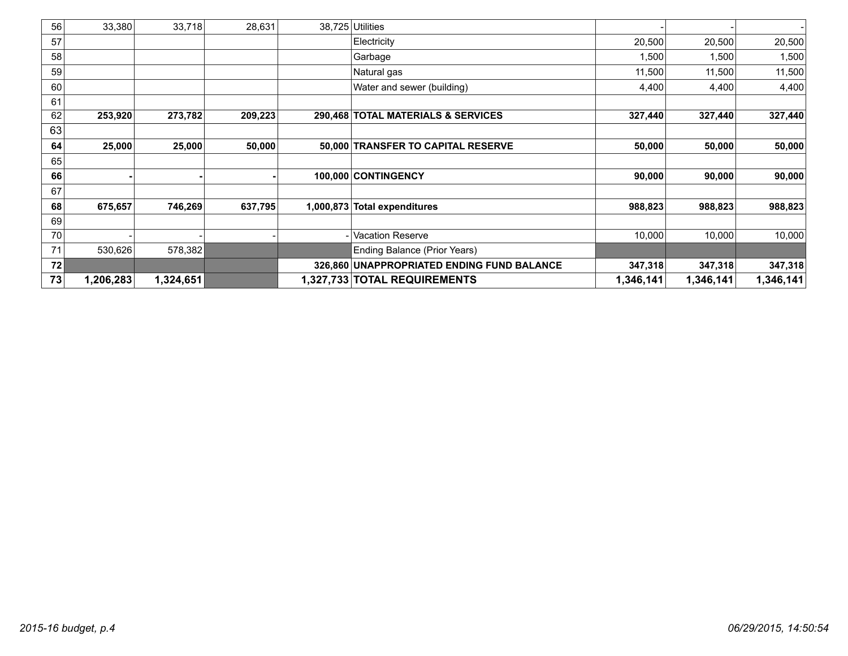| 56 | 33,380    | 33,718    | 28,631  |           | 38,725 Utilities                           |           |           |           |
|----|-----------|-----------|---------|-----------|--------------------------------------------|-----------|-----------|-----------|
| 57 |           |           |         |           | Electricity                                | 20,500    | 20,500    | 20,500    |
| 58 |           |           |         |           | Garbage                                    | 1,500     | 1,500     | 1,500     |
| 59 |           |           |         |           | Natural gas                                | 11,500    | 11,500    | 11,500    |
| 60 |           |           |         |           | Water and sewer (building)                 | 4,400     | 4,400     | 4,400     |
| 61 |           |           |         |           |                                            |           |           |           |
| 62 | 253,920   | 273,782   | 209,223 |           | 290,468 TOTAL MATERIALS & SERVICES         | 327,440   | 327,440   | 327,440   |
| 63 |           |           |         |           |                                            |           |           |           |
| 64 | 25,000    | 25,000    | 50,000  |           | 50,000 TRANSFER TO CAPITAL RESERVE         | 50,000    | 50,000    | 50,000    |
| 65 |           |           |         |           |                                            |           |           |           |
| 66 |           |           |         |           | 100,000 CONTINGENCY                        | 90,000    | 90,000    | 90,000    |
| 67 |           |           |         |           |                                            |           |           |           |
| 68 | 675,657   | 746,269   | 637,795 | 1,000,873 | <b>Total expenditures</b>                  | 988,823   | 988,823   | 988,823   |
| 69 |           |           |         |           |                                            |           |           |           |
| 70 |           |           |         |           | <b>Vacation Reserve</b>                    | 10,000    | 10,000    | 10,000    |
| 71 | 530,626   | 578,382   |         |           | Ending Balance (Prior Years)               |           |           |           |
| 72 |           |           |         |           | 326,860 UNAPPROPRIATED ENDING FUND BALANCE | 347,318   | 347,318   | 347,318   |
| 73 | 1,206,283 | 1,324,651 |         |           | 1,327,733 TOTAL REQUIREMENTS               | 1,346,141 | 1,346,141 | 1,346,141 |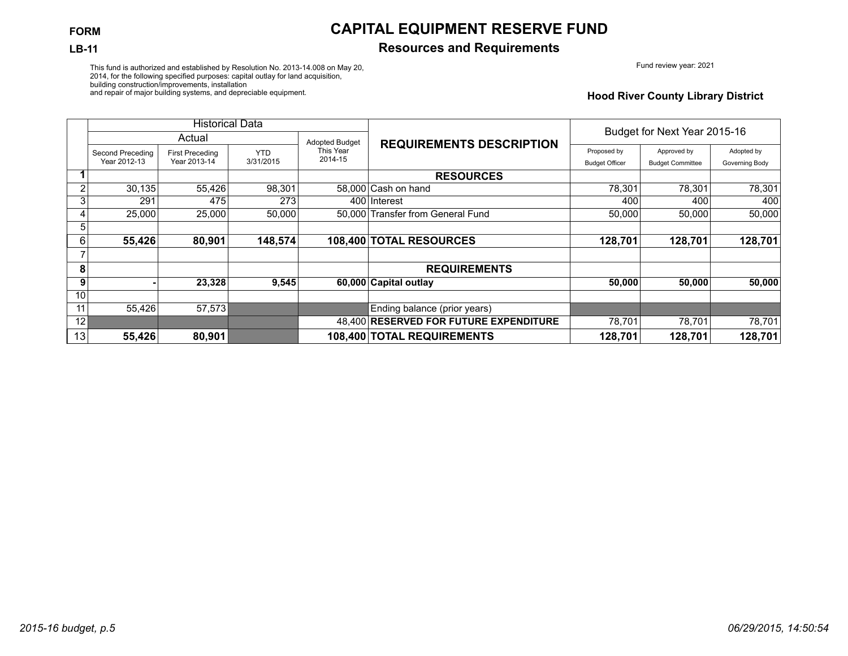#### **LB-11 Resources and Requirements**

Fund review year: 2021

This fund is authorized and established by Resolution No. 2013-14.008 on May 20, 2014, for the following specified purposes: capital outlay for land acquisition, building construction/improvements, installation and repair of major building systems, and depreciable equipment.

**Hood River County Library District**

|    |                  | <b>Historical Data</b> |            |                       |                                        | Budget for Next Year 2015-16 |                         |                |
|----|------------------|------------------------|------------|-----------------------|----------------------------------------|------------------------------|-------------------------|----------------|
|    |                  | Actual                 |            | <b>Adopted Budget</b> | <b>REQUIREMENTS DESCRIPTION</b>        |                              |                         |                |
|    | Second Preceding | <b>First Preceding</b> | <b>YTD</b> | This Year             |                                        | Proposed by                  | Approved by             | Adopted by     |
|    | Year 2012-13     | Year 2013-14           | 3/31/2015  | 2014-15               |                                        | <b>Budget Officer</b>        | <b>Budget Committee</b> | Governing Body |
|    |                  |                        |            |                       | <b>RESOURCES</b>                       |                              |                         |                |
| 2  | 30,135           | 55,426                 | 98,301     |                       | 58,000 Cash on hand                    | 78,301                       | 78.301                  | 78,301         |
| 3  | 291              | 475                    | 273        |                       | 400 Interest                           | 400                          | 400                     | 400            |
|    | 25,000           | 25,000                 | 50.000     |                       | 50.000 Transfer from General Fund      | 50.000                       | 50.000                  | 50,000         |
| 5  |                  |                        |            |                       |                                        |                              |                         |                |
| 6  | 55,426           | 80,901                 | 148,574    |                       | 108,400 TOTAL RESOURCES                | 128,701                      | 128,701                 | 128,701        |
|    |                  |                        |            |                       |                                        |                              |                         |                |
| 8  |                  |                        |            |                       | <b>REQUIREMENTS</b>                    |                              |                         |                |
| 9  |                  | 23,328                 | 9,545      |                       | 60,000 Capital outlay                  | 50,000                       | 50,000                  | 50,000         |
| 10 |                  |                        |            |                       |                                        |                              |                         |                |
| 11 | 55,426           | 57,573                 |            |                       | Ending balance (prior years)           |                              |                         |                |
| 12 |                  |                        |            |                       | 48,400 RESERVED FOR FUTURE EXPENDITURE | 78,701                       | 78,701                  | 78,701         |
| 13 | 55,426           | 80,901                 |            |                       | 108,400 TOTAL REQUIREMENTS             | 128,701                      | 128,701                 | 128,701        |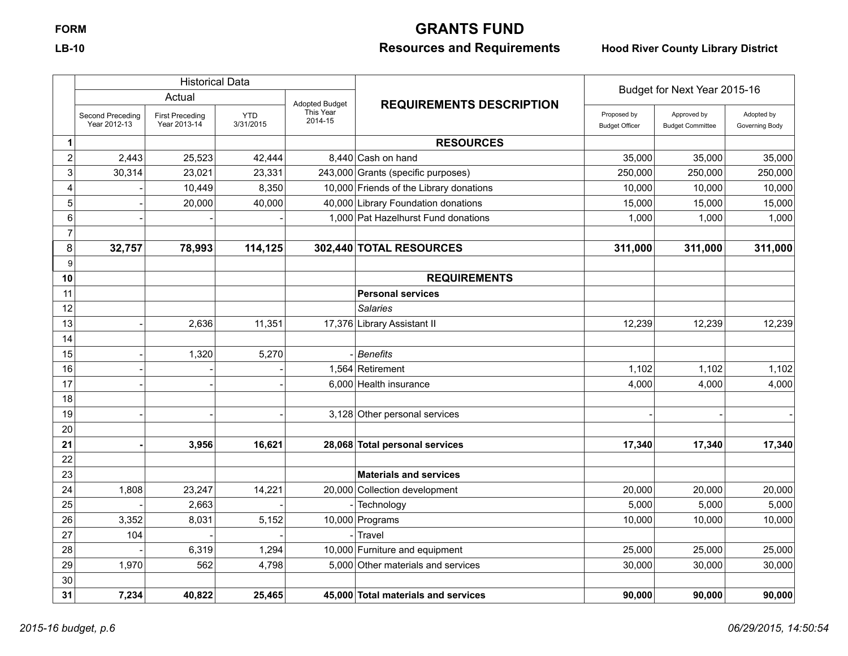# **FORM GRANTS FUND**

# **LB-10 Resources and Requirements Hood River County Library District**

|                |                                  | <b>Historical Data</b>                 |                         |                       |                                         |                                      |                                        |                              |
|----------------|----------------------------------|----------------------------------------|-------------------------|-----------------------|-----------------------------------------|--------------------------------------|----------------------------------------|------------------------------|
|                |                                  | Actual                                 |                         | <b>Adopted Budget</b> |                                         |                                      | Budget for Next Year 2015-16           |                              |
|                | Second Preceding<br>Year 2012-13 | <b>First Preceding</b><br>Year 2013-14 | <b>YTD</b><br>3/31/2015 | This Year<br>2014-15  | <b>REQUIREMENTS DESCRIPTION</b>         | Proposed by<br><b>Budget Officer</b> | Approved by<br><b>Budget Committee</b> | Adopted by<br>Governing Body |
| 1              |                                  |                                        |                         |                       | <b>RESOURCES</b>                        |                                      |                                        |                              |
| $\overline{2}$ | 2,443                            | 25,523                                 | 42,444                  |                       | 8,440 Cash on hand                      | 35,000                               | 35,000                                 | 35,000                       |
| 3              | 30,314                           | 23,021                                 | 23,331                  |                       | 243,000 Grants (specific purposes)      | 250,000                              | 250,000                                | 250,000                      |
| 4              |                                  | 10,449                                 | 8,350                   |                       | 10,000 Friends of the Library donations | 10,000                               | 10,000                                 | 10,000                       |
| 5              |                                  | 20,000                                 | 40,000                  |                       | 40,000 Library Foundation donations     | 15,000                               | 15,000                                 | 15,000                       |
| 6              |                                  |                                        |                         |                       | 1,000 Pat Hazelhurst Fund donations     | 1,000                                | 1,000                                  | 1,000                        |
| $\overline{7}$ |                                  |                                        |                         |                       |                                         |                                      |                                        |                              |
| 8              | 32,757                           | 78,993                                 | 114,125                 |                       | 302,440 TOTAL RESOURCES                 | 311,000                              | 311,000                                | 311,000                      |
| 9              |                                  |                                        |                         |                       |                                         |                                      |                                        |                              |
| 10             |                                  |                                        |                         |                       | <b>REQUIREMENTS</b>                     |                                      |                                        |                              |
| 11             |                                  |                                        |                         |                       | <b>Personal services</b>                |                                      |                                        |                              |
| 12             |                                  |                                        |                         |                       | <b>Salaries</b>                         |                                      |                                        |                              |
| 13             |                                  | 2,636                                  | 11,351                  |                       | 17,376 Library Assistant II             | 12,239                               | 12,239                                 | 12,239                       |
| 14             |                                  |                                        |                         |                       |                                         |                                      |                                        |                              |
| 15             |                                  | 1,320                                  | 5,270                   |                       | <b>Benefits</b>                         |                                      |                                        |                              |
| 16             |                                  |                                        |                         |                       | 1,564 Retirement                        | 1,102                                | 1,102                                  | 1,102                        |
| 17             |                                  |                                        |                         |                       | 6,000 Health insurance                  | 4,000                                | 4,000                                  | 4,000                        |
| 18             |                                  |                                        |                         |                       |                                         |                                      |                                        |                              |
| 19             |                                  |                                        |                         |                       | 3,128 Other personal services           |                                      |                                        |                              |
| 20             |                                  |                                        |                         |                       |                                         |                                      |                                        |                              |
| 21             |                                  | 3,956                                  | 16,621                  |                       | 28,068 Total personal services          | 17,340                               | 17,340                                 | 17,340                       |
| 22             |                                  |                                        |                         |                       |                                         |                                      |                                        |                              |
| 23             |                                  |                                        |                         |                       | <b>Materials and services</b>           |                                      |                                        |                              |
| 24             | 1,808                            | 23,247                                 | 14,221                  |                       | 20,000 Collection development           | 20,000                               | 20,000                                 | 20,000                       |
| 25             |                                  | 2,663                                  |                         |                       | Technology                              | 5,000                                | 5,000                                  | 5,000                        |
| 26             | 3,352                            | 8,031                                  | 5,152                   |                       | 10,000 Programs                         | 10,000                               | 10,000                                 | 10,000                       |
| 27             | 104                              |                                        |                         |                       | Travel                                  |                                      |                                        |                              |
| 28             |                                  | 6,319                                  | 1,294                   |                       | 10,000 Furniture and equipment          | 25,000                               | 25,000                                 | 25,000                       |
| 29             | 1,970                            | 562                                    | 4,798                   |                       | 5,000 Other materials and services      | 30,000                               | 30,000                                 | 30,000                       |
| 30             |                                  |                                        |                         |                       |                                         |                                      |                                        |                              |
| 31             | 7,234                            | 40,822                                 | 25,465                  |                       | 45,000 Total materials and services     | 90,000                               | 90,000                                 | 90,000                       |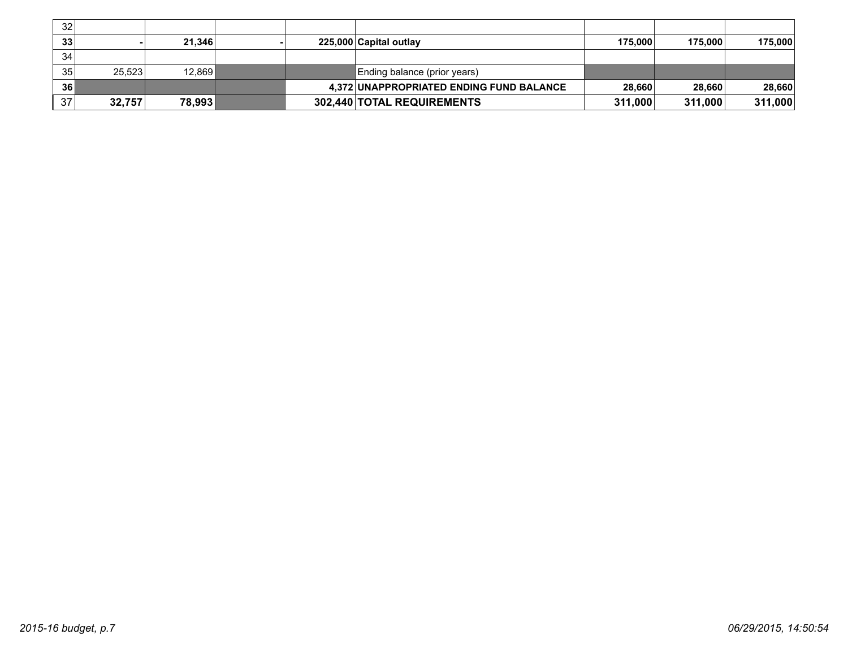| 32 <sub>1</sub> |        |        |  |                                          |         |         |         |
|-----------------|--------|--------|--|------------------------------------------|---------|---------|---------|
| 33              |        | 21.346 |  | 225,000 Capital outlay                   | 175.000 | 175.000 | 175,000 |
| 34              |        |        |  |                                          |         |         |         |
| 35              | 25.523 | 12.869 |  | Ending balance (prior years)             |         |         |         |
| 36              |        |        |  | 4,372 UNAPPROPRIATED ENDING FUND BALANCE | 28,660  | 28,660  | 28,660  |
| 37              | 32,757 | 78,993 |  | 302,440 TOTAL REQUIREMENTS               | 311,000 | 311,000 | 311,000 |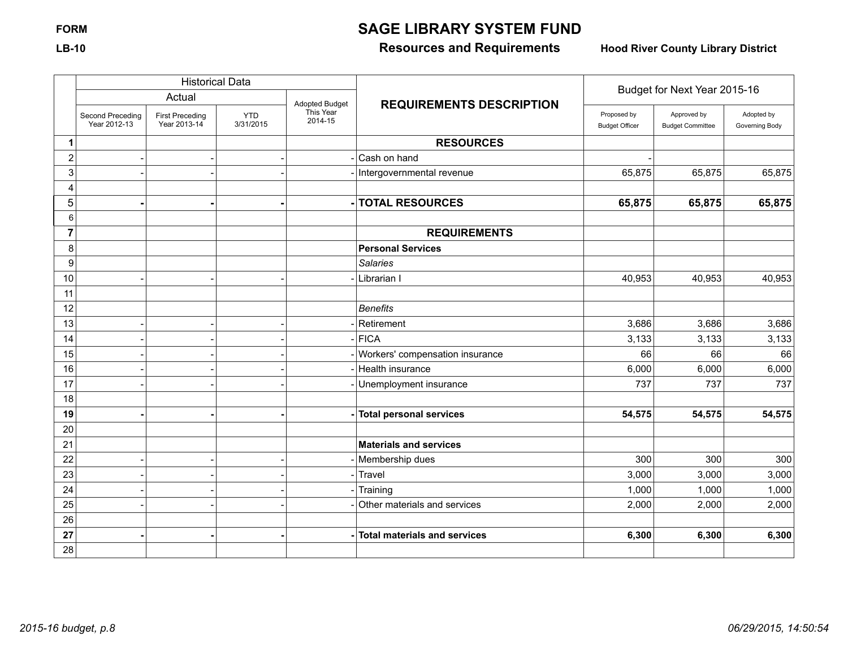# **FORM SAGE LIBRARY SYSTEM FUND**

# **LB-10 Resources and Requirements Hood River County Library District**

|                | <b>Historical Data</b>           |                                        |                         |                      |                                     | Budget for Next Year 2015-16         |                                        |                              |
|----------------|----------------------------------|----------------------------------------|-------------------------|----------------------|-------------------------------------|--------------------------------------|----------------------------------------|------------------------------|
|                |                                  | Actual                                 |                         | Adopted Budget       | <b>REQUIREMENTS DESCRIPTION</b>     |                                      |                                        |                              |
|                | Second Preceding<br>Year 2012-13 | <b>First Preceding</b><br>Year 2013-14 | <b>YTD</b><br>3/31/2015 | This Year<br>2014-15 |                                     | Proposed by<br><b>Budget Officer</b> | Approved by<br><b>Budget Committee</b> | Adopted by<br>Governing Body |
| 1              |                                  |                                        |                         |                      | <b>RESOURCES</b>                    |                                      |                                        |                              |
| $\overline{2}$ |                                  |                                        |                         |                      | Cash on hand                        |                                      |                                        |                              |
| 3              |                                  |                                        |                         |                      | Intergovernmental revenue           | 65,875                               | 65,875                                 | 65,875                       |
| 4              |                                  |                                        |                         |                      |                                     |                                      |                                        |                              |
| 5              |                                  |                                        |                         |                      | <b>TOTAL RESOURCES</b>              | 65,875                               | 65,875                                 | 65,875                       |
| 6              |                                  |                                        |                         |                      |                                     |                                      |                                        |                              |
| 7              |                                  |                                        |                         |                      | <b>REQUIREMENTS</b>                 |                                      |                                        |                              |
| 8              |                                  |                                        |                         |                      | <b>Personal Services</b>            |                                      |                                        |                              |
| 9              |                                  |                                        |                         |                      | <b>Salaries</b>                     |                                      |                                        |                              |
| 10             |                                  |                                        |                         |                      | Librarian I                         | 40,953                               | 40,953                                 | 40,953                       |
| 11             |                                  |                                        |                         |                      |                                     |                                      |                                        |                              |
| 12             |                                  |                                        |                         |                      | <b>Benefits</b>                     |                                      |                                        |                              |
| 13             |                                  |                                        |                         |                      | Retirement                          | 3,686                                | 3,686                                  | 3,686                        |
| 14             |                                  |                                        |                         |                      | <b>FICA</b>                         | 3,133                                | 3,133                                  | 3,133                        |
| 15             |                                  |                                        |                         |                      | Workers' compensation insurance     | 66                                   | 66                                     | 66                           |
| 16             |                                  |                                        |                         |                      | Health insurance                    | 6,000                                | 6,000                                  | 6,000                        |
| 17             |                                  |                                        |                         |                      | Unemployment insurance              | 737                                  | 737                                    | 737                          |
| 18             |                                  |                                        |                         |                      |                                     |                                      |                                        |                              |
| 19             |                                  |                                        |                         |                      | <b>Total personal services</b>      | 54,575                               | 54,575                                 | 54,575                       |
| 20             |                                  |                                        |                         |                      |                                     |                                      |                                        |                              |
| 21             |                                  |                                        |                         |                      | <b>Materials and services</b>       |                                      |                                        |                              |
| 22             |                                  |                                        |                         |                      | Membership dues                     | 300                                  | 300                                    | 300                          |
| 23             |                                  |                                        |                         |                      | Travel                              | 3,000                                | 3,000                                  | 3,000                        |
| 24             |                                  |                                        |                         |                      | Training                            | 1,000                                | 1,000                                  | 1,000                        |
| 25             |                                  |                                        |                         |                      | Other materials and services        | 2,000                                | 2,000                                  | 2,000                        |
| 26             |                                  |                                        |                         |                      |                                     |                                      |                                        |                              |
| 27             |                                  |                                        |                         |                      | <b>Total materials and services</b> | 6,300                                | 6,300                                  | 6,300                        |
| 28             |                                  |                                        |                         |                      |                                     |                                      |                                        |                              |